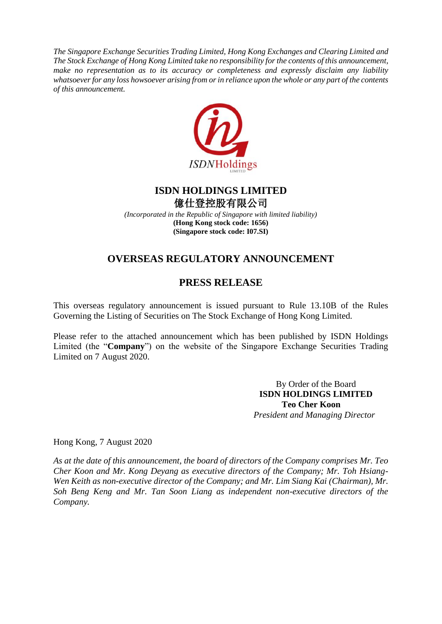*The Singapore Exchange Securities Trading Limited, Hong Kong Exchanges and Clearing Limited and The Stock Exchange of Hong Kong Limited take no responsibility for the contents of this announcement, make no representation as to its accuracy or completeness and expressly disclaim any liability whatsoever for any loss howsoever arising from or in reliance upon the whole or any part of the contents of this announcement.*



## **ISDN HOLDINGS LIMITED** 億仕登控股有限公司

*(Incorporated in the Republic of Singapore with limited liability)* **(Hong Kong stock code: 1656) (Singapore stock code: I07.SI)**

# **OVERSEAS REGULATORY ANNOUNCEMENT**

## **PRESS RELEASE**

This overseas regulatory announcement is issued pursuant to Rule 13.10B of the Rules Governing the Listing of Securities on The Stock Exchange of Hong Kong Limited.

Please refer to the attached announcement which has been published by ISDN Holdings Limited (the "**Company**") on the website of the Singapore Exchange Securities Trading Limited on 7 August 2020.

> By Order of the Board **ISDN HOLDINGS LIMITED Teo Cher Koon** *President and Managing Director*

Hong Kong, 7 August 2020

*As at the date of this announcement, the board of directors of the Company comprises Mr. Teo Cher Koon and Mr. Kong Deyang as executive directors of the Company; Mr. Toh Hsiang-Wen Keith as non-executive director of the Company; and Mr. Lim Siang Kai (Chairman), Mr. Soh Beng Keng and Mr. Tan Soon Liang as independent non-executive directors of the Company.*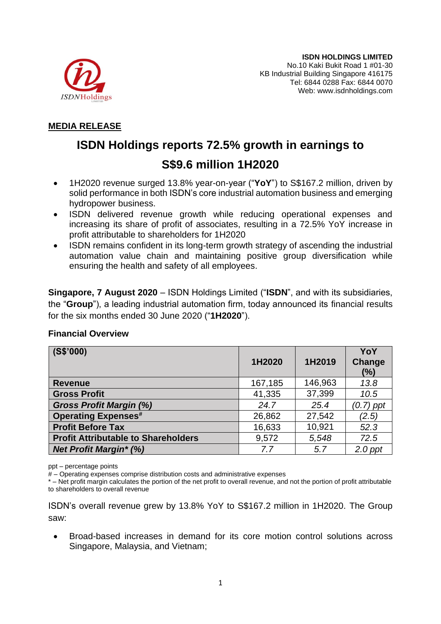

## **MEDIA RELEASE**

# **ISDN Holdings reports 72.5% growth in earnings to S\$9.6 million 1H2020**

- 1H2020 revenue surged 13.8% year-on-year ("**YoY**") to S\$167.2 million, driven by solid performance in both ISDN's core industrial automation business and emerging hydropower business.
- ISDN delivered revenue growth while reducing operational expenses and increasing its share of profit of associates, resulting in a 72.5% YoY increase in profit attributable to shareholders for 1H2020
- ISDN remains confident in its long-term growth strategy of ascending the industrial automation value chain and maintaining positive group diversification while ensuring the health and safety of all employees.

**Singapore, 7 August 2020** – ISDN Holdings Limited ("**ISDN**", and with its subsidiaries, the "**Group**"), a leading industrial automation firm, today announced its financial results for the six months ended 30 June 2020 ("**1H2020**").

### **Financial Overview**

| (S\$'000)                                  |         |         | YoY              |
|--------------------------------------------|---------|---------|------------------|
|                                            | 1H2020  | 1H2019  | Change<br>$(\%)$ |
| <b>Revenue</b>                             | 167,185 | 146,963 | 13.8             |
| <b>Gross Profit</b>                        | 41,335  | 37,399  | 10.5             |
| <b>Gross Profit Margin (%)</b>             | 24.7    | 25.4    | $(0.7)$ ppt      |
| <b>Operating Expenses#</b>                 | 26,862  | 27,542  | (2.5)            |
| <b>Profit Before Tax</b>                   | 16,633  | 10,921  | 52.3             |
| <b>Profit Attributable to Shareholders</b> | 9,572   | 5,548   | 72.5             |
| <b>Net Profit Margin* (%)</b>              | 7.7     | 5.7     | $2.0$ ppt        |

ppt – percentage points

# – Operating expenses comprise distribution costs and administrative expenses

\* – Net profit margin calculates the portion of the net profit to overall revenue, and not the portion of profit attributable to shareholders to overall revenue

ISDN's overall revenue grew by 13.8% YoY to S\$167.2 million in 1H2020. The Group saw:

• Broad-based increases in demand for its core motion control solutions across Singapore, Malaysia, and Vietnam;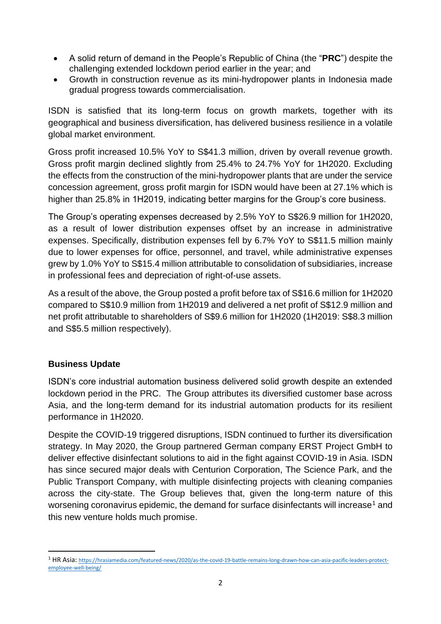- A solid return of demand in the People's Republic of China (the "**PRC**") despite the challenging extended lockdown period earlier in the year; and
- Growth in construction revenue as its mini-hydropower plants in Indonesia made gradual progress towards commercialisation.

ISDN is satisfied that its long-term focus on growth markets, together with its geographical and business diversification, has delivered business resilience in a volatile global market environment.

Gross profit increased 10.5% YoY to S\$41.3 million, driven by overall revenue growth. Gross profit margin declined slightly from 25.4% to 24.7% YoY for 1H2020. Excluding the effects from the construction of the mini-hydropower plants that are under the service concession agreement, gross profit margin for ISDN would have been at 27.1% which is higher than 25.8% in 1H2019, indicating better margins for the Group's core business.

The Group's operating expenses decreased by 2.5% YoY to S\$26.9 million for 1H2020, as a result of lower distribution expenses offset by an increase in administrative expenses. Specifically, distribution expenses fell by 6.7% YoY to S\$11.5 million mainly due to lower expenses for office, personnel, and travel, while administrative expenses grew by 1.0% YoY to S\$15.4 million attributable to consolidation of subsidiaries, increase in professional fees and depreciation of right-of-use assets.

As a result of the above, the Group posted a profit before tax of S\$16.6 million for 1H2020 compared to S\$10.9 million from 1H2019 and delivered a net profit of S\$12.9 million and net profit attributable to shareholders of S\$9.6 million for 1H2020 (1H2019: S\$8.3 million and S\$5.5 million respectively).

### **Business Update**

ISDN's core industrial automation business delivered solid growth despite an extended lockdown period in the PRC. The Group attributes its diversified customer base across Asia, and the long-term demand for its industrial automation products for its resilient performance in 1H2020.

Despite the COVID-19 triggered disruptions, ISDN continued to further its diversification strategy. In May 2020, the Group partnered German company ERST Project GmbH to deliver effective disinfectant solutions to aid in the fight against COVID-19 in Asia. ISDN has since secured major deals with Centurion Corporation, The Science Park, and the Public Transport Company, with multiple disinfecting projects with cleaning companies across the city-state. The Group believes that, given the long-term nature of this worsening coronavirus epidemic, the demand for surface disinfectants will increase<sup>1</sup> and this new venture holds much promise.

<sup>1</sup> HR Asia: [https://hrasiamedia.com/featured-news/2020/as-the-covid-19-battle-remains-long-drawn-how-can-asia-pacific-leaders-protect](https://hrasiamedia.com/featured-news/2020/as-the-covid-19-battle-remains-long-drawn-how-can-asia-pacific-leaders-protect-employee-well-being/)[employee-well-being/](https://hrasiamedia.com/featured-news/2020/as-the-covid-19-battle-remains-long-drawn-how-can-asia-pacific-leaders-protect-employee-well-being/)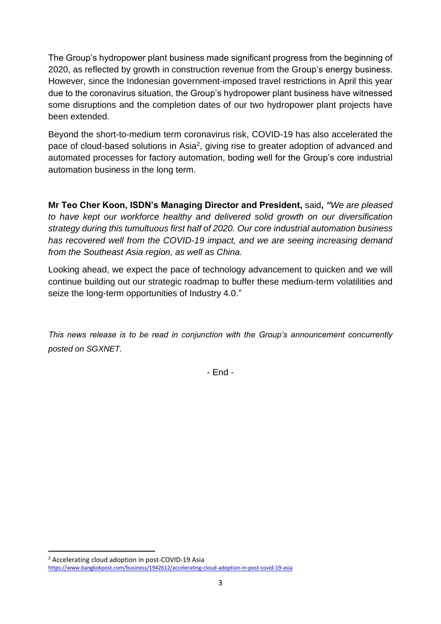The Group's hydropower plant business made significant progress from the beginning of 2020, as reflected by growth in construction revenue from the Group's energy business. However, since the Indonesian government-imposed travel restrictions in April this year due to the coronavirus situation, the Group's hydropower plant business have witnessed some disruptions and the completion dates of our two hydropower plant projects have been extended.

Beyond the short-to-medium term coronavirus risk, COVID-19 has also accelerated the pace of cloud-based solutions in Asia<sup>2</sup>, giving rise to greater adoption of advanced and automated processes for factory automation, boding well for the Group's core industrial automation business in the long term.

**Mr Teo Cher Koon, ISDN's Managing Director and President,** said**,** *"We are pleased to have kept our workforce healthy and delivered solid growth on our diversification strategy during this tumultuous first half of 2020. Our core industrial automation business has recovered well from the COVID-19 impact, and we are seeing increasing demand from the Southeast Asia region, as well as China.* 

Looking ahead, we expect the pace of technology advancement to quicken and we will continue building out our strategic roadmap to buffer these medium-term volatilities and seize the long-term opportunities of Industry 4.0."

*This news release is to be read in conjunction with the Group's announcement concurrently posted on SGXNET.*

- End -

<sup>2</sup> Accelerating cloud adoption in post-COVID-19 Asia

<https://www.bangkokpost.com/business/1942612/accelerating-cloud-adoption-in-post-covid-19-asia>